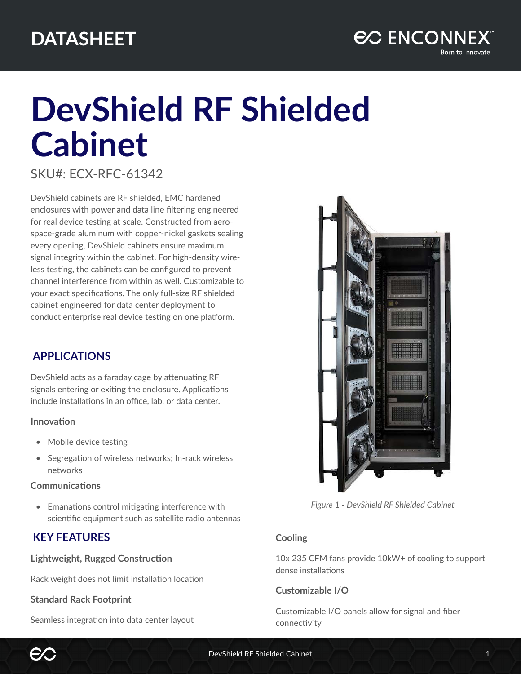

# **DevShield RF Shielded Cabinet**

## SKU#: ECX-RFC-61342

DevShield cabinets are RF shielded, EMC hardened enclosures with power and data line filtering engineered for real device testing at scale. Constructed from aerospace-grade aluminum with copper-nickel gaskets sealing every opening, DevShield cabinets ensure maximum signal integrity within the cabinet. For high-density wireless testing, the cabinets can be configured to prevent channel interference from within as well. Customizable to your exact specifications. The only full-size RF shielded cabinet engineered for data center deployment to conduct enterprise real device testing on one platform.

## **APPLICATIONS**

DevShield acts as a faraday cage by attenuating RF signals entering or exiting the enclosure. Applications include installations in an office, lab, or data center.

## **Innovation**

- Mobile device testing
- Segregation of wireless networks; In-rack wireless networks

#### **Communications**

• Emanations control mitigating interference with scientific equipment such as satellite radio antennas

## **KEY FEATURES**

## **Lightweight, Rugged Construction**

Rack weight does not limit installation location

## **Standard Rack Footprint**

Seamless integration into data center layout



*Figure 1 - DevShield RF Shielded Cabinet*

## **Cooling**

10x 235 CFM fans provide 10kW+ of cooling to support dense installations

## **Customizable I/O**

Customizable I/O panels allow for signal and fiber connectivity